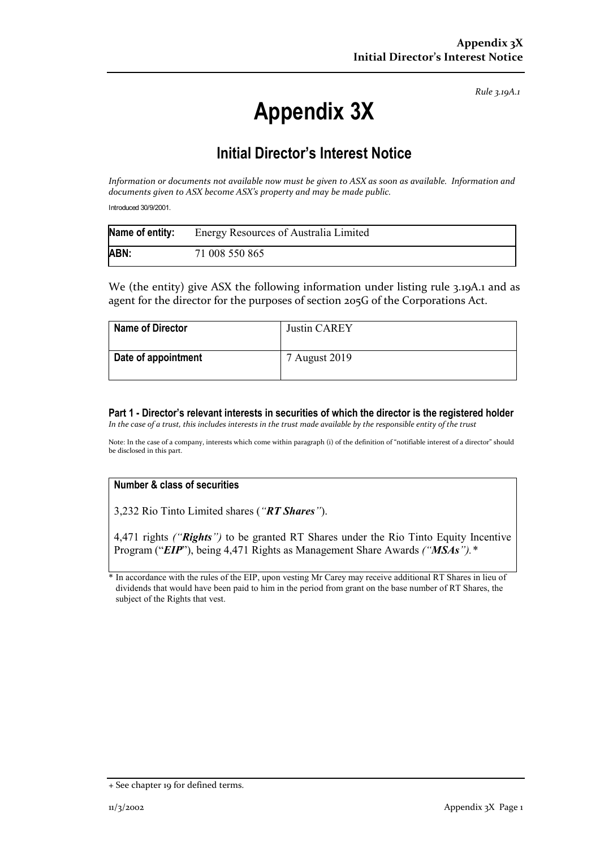*Rule 3.19A.1*

# **Appendix 3X**

## **Initial Director's Interest Notice**

*Information or documents not available now must be given to ASX as soon as available. Information and documents given to ASX become ASX's property and may be made public.*

Introduced 30/9/2001.

| Name of entity: | <b>Energy Resources of Australia Limited</b> |
|-----------------|----------------------------------------------|
| ABN:            | 71 008 550 865                               |

We (the entity) give ASX the following information under listing rule 3.19A.1 and as agent for the director for the purposes of section 205G of the Corporations Act.

| <b>Name of Director</b> | Justin CAREY  |
|-------------------------|---------------|
| Date of appointment     | 7 August 2019 |

**Part 1 - Director's relevant interests in securities of which the director is the registered holder** *In the case of a trust, this includes interests in the trust made available by the responsible entity of the trust*

Note: In the case of a company, interests which come within paragraph (i) of the definition of "notifiable interest of a director" should be disclosed in this part.

### **Number & class of securities**

3,232 Rio Tinto Limited shares (*"RT Shares"*).

4,471 rights *("Rights")* to be granted RT Shares under the Rio Tinto Equity Incentive Program ("*EIP*"), being 4,471 Rights as Management Share Awards *("MSAs").\**

In accordance with the rules of the EIP, upon vesting Mr Carey may receive additional RT Shares in lieu of dividends that would have been paid to him in the period from grant on the base number of RT Shares, the subject of the Rights that vest.

<sup>+</sup> See chapter 19 for defined terms.